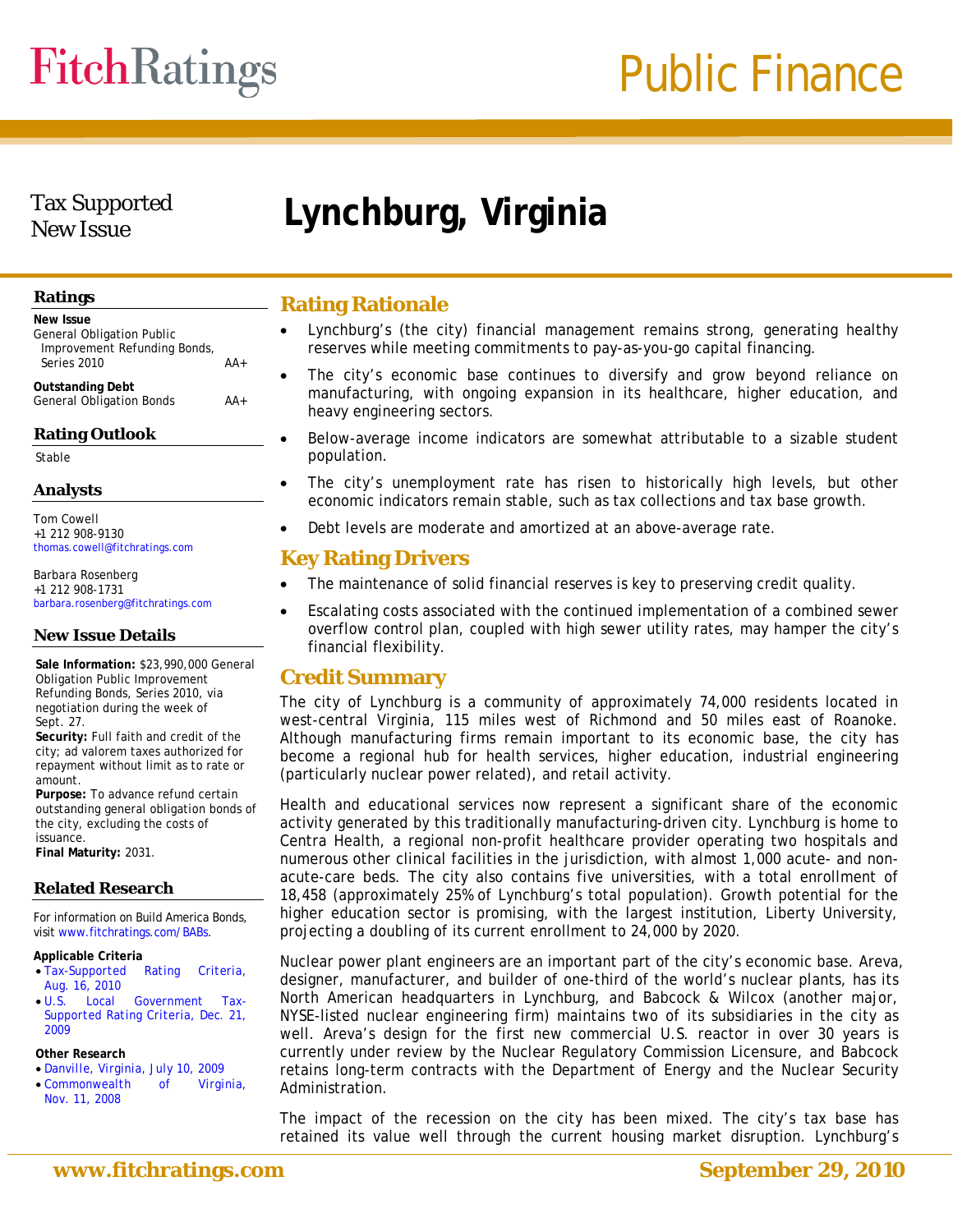# **FitchRatings**

### Tax Supported

### New Issue **Lynchburg, Virginia**

#### **Ratings**

| <b>New Issue</b>                 |       |
|----------------------------------|-------|
| <b>General Obligation Public</b> |       |
| Improvement Refunding Bonds,     |       |
| Series 2010                      | $AA+$ |
| <b>Outstanding Debt</b>          |       |
| <b>General Obligation Bonds</b>  |       |

#### **Rating Outlook**

Stable

### **Analysts**

Tom Cowell +1 212 908-9130

[barbara.rosenberg@fitchratings.com](mailto:barbara.rosenberg@fitchratings.com) 

#### **New Issue Details**

**Sale Information:** \$23,990,000 General Obligation Public Improvement Refunding Bonds, Series 2010, via negotiation during the week of Sept. 27.

**Security:** Full faith and credit of the city; ad valorem taxes authorized for repayment without limit as to rate or amount.

**Purpose:** To advance refund certain outstanding general obligation bonds of the city, excluding the costs of issuance.

**Final Maturity:** 2031.

#### **Related Research**

For information on Build America Bonds, visit [www.fitchratings.com/BABs.](http://www.fitchratings.com/BABs)

- *[Tax-Supported Rating Criteria,](http://www.fitchratings.com/creditdesk/reports/report_frame.cfm?rpt_id=548605)  [Aug. 16, 2010](http://www.fitchratings.com/creditdesk/reports/report_frame.cfm?rpt_id=548605)*
- *[U.S. Local Government Tax-](http://www.fitchratings.com/creditdesk/reports/report_frame.cfm?rpt_id=492470)[Supported Rating Criteria, Dec. 21,](http://www.fitchratings.com/creditdesk/reports/report_frame.cfm?rpt_id=492470)  [2009](http://www.fitchratings.com/creditdesk/reports/report_frame.cfm?rpt_id=492470)*

#### **Other Research**

- *[Danville, Virginia, July 10, 2009](http://www.fitchratings.com/creditdesk/reports/report_frame.cfm?rpt_id=458346)*
- *[Commonwealth of Virginia,](http://www.fitchratings.com/creditdesk/reports/report_frame.cfm?rpt_id=413306)  [Nov. 11, 2008](http://www.fitchratings.com/creditdesk/reports/report_frame.cfm?rpt_id=413306)*

#### **Rating Rationale**

- Lynchburg's (the city) financial management remains strong, generating healthy reserves while meeting commitments to pay-as-you-go capital financing.
- The city's economic base continues to diversify and grow beyond reliance on manufacturing, with ongoing expansion in its healthcare, higher education, and heavy engineering sectors.
- Below-average income indicators are somewhat attributable to a sizable student population.
- The city's unemployment rate has risen to historically high levels, but other economic indicators remain stable, such as tax collections and tax base growth.
- Debt levels are moderate and amortized at an above-average rate.

### **thomas.cowell@fitchratings.com**<br>Barbara Rosenberg<br> **Key Rating Drivers**

- Barbara Rosenberg **The maintenance of solid financial reserves is key to preserving credit quality.** +1 212 908-1731
	- Escalating costs associated with the continued implementation of a combined sewer overflow control plan, coupled with high sewer utility rates, may hamper the city's financial flexibility.

#### **Credit Summary**

The city of Lynchburg is a community of approximately 74,000 residents located in west-central Virginia, 115 miles west of Richmond and 50 miles east of Roanoke. Although manufacturing firms remain important to its economic base, the city has become a regional hub for health services, higher education, industrial engineering (particularly nuclear power related), and retail activity.

Health and educational services now represent a significant share of the economic activity generated by this traditionally manufacturing-driven city. Lynchburg is home to Centra Health, a regional non-profit healthcare provider operating two hospitals and numerous other clinical facilities in the jurisdiction, with almost 1,000 acute- and nonacute-care beds. The city also contains five universities, with a total enrollment of 18,458 (approximately 25% of Lynchburg's total population). Growth potential for the higher education sector is promising, with the largest institution, Liberty University, projecting a doubling of its current enrollment to 24,000 by 2020.

**Applicable Criteria** Nuclear power plant engineers are an important part of the city's economic base. Areva, designer, manufacturer, and builder of one-third of the world's nuclear plants, has its North American headquarters in Lynchburg, and Babcock & Wilcox (another major, NYSE-listed nuclear engineering firm) maintains two of its subsidiaries in the city as well. Areva's design for the first new commercial U.S. reactor in over 30 years is currently under review by the Nuclear Regulatory Commission Licensure, and Babcock retains long-term contracts with the Department of Energy and the Nuclear Security Administration.

> The impact of the recession on the city has been mixed. The city's tax base has retained its value well through the current housing market disruption. Lynchburg's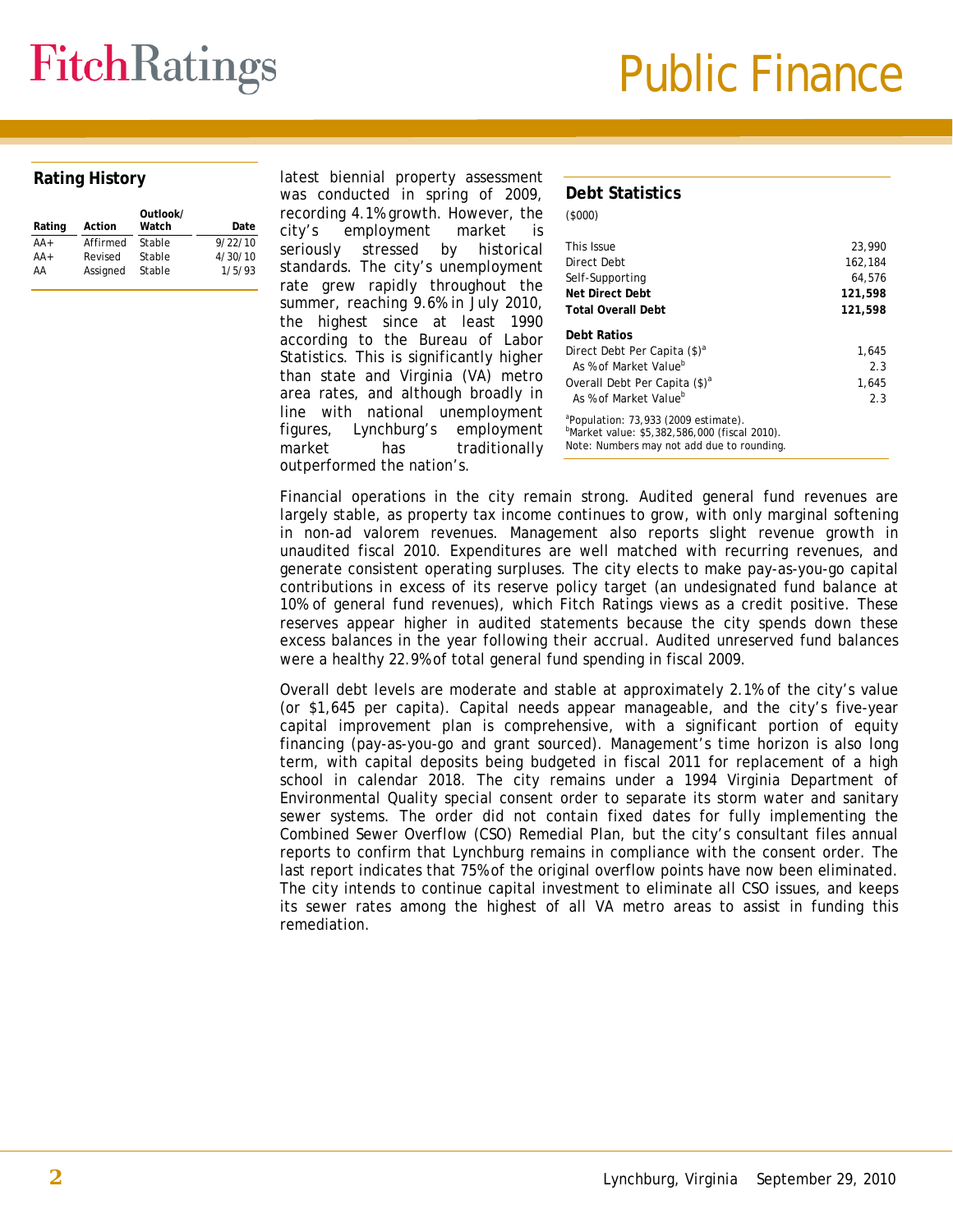## **FitchRatings**

## Public Finance

#### **Rating History**

| Rating | Action   | Outlook/<br>Watch | Date    |
|--------|----------|-------------------|---------|
| $AA+$  | Affirmed | Stable            | 9/22/10 |
| $AA+$  | Revised  | Stable            | 4/30/10 |
| AA     | Assigned | Stable            | 1/5/93  |

latest biennial property assessment was conducted in spring of 2009, recording 4.1% growth. However, the city's employment market is seriously stressed by historical standards. The city's unemployment rate grew rapidly throughout the summer, reaching 9.6% in July 2010, the highest since at least 1990 according to the Bureau of Labor Statistics. This is significantly higher than state and Virginia (VA) metro area rates, and although broadly in line with national unemployment figures, Lynchburg's employment market has traditionally outperformed the nation's.

| Debt Statistics                                                                                                                                 |         |
|-------------------------------------------------------------------------------------------------------------------------------------------------|---------|
| (5000)                                                                                                                                          |         |
| This Issue                                                                                                                                      | 23,990  |
| Direct Debt                                                                                                                                     | 162,184 |
| Self-Supporting                                                                                                                                 | 64.576  |
| Net Direct Debt                                                                                                                                 | 121,598 |
| <b>Total Overall Debt</b>                                                                                                                       | 121,598 |
| Debt Ratios                                                                                                                                     |         |
| Direct Debt Per Capita (\$) <sup>a</sup>                                                                                                        | 1,645   |
| As % of Market Value <sup>b</sup>                                                                                                               | 2.3     |
| Overall Debt Per Capita (\$) <sup>a</sup>                                                                                                       | 1,645   |
| As % of Market Value <sup>b</sup>                                                                                                               | 2.3     |
| <sup>a</sup> Population: 73,933 (2009 estimate).<br>"Market value: \$5,382,586,000 (fiscal 2010).<br>Note: Numbers may not add due to rounding. |         |

Financial operations in the city remain strong. Audited general fund revenues are largely stable, as property tax income continues to grow, with only marginal softening in non-ad valorem revenues. Management also reports slight revenue growth in unaudited fiscal 2010. Expenditures are well matched with recurring revenues, and generate consistent operating surpluses. The city elects to make pay-as-you-go capital contributions in excess of its reserve policy target (an undesignated fund balance at 10% of general fund revenues), which Fitch Ratings views as a credit positive. These reserves appear higher in audited statements because the city spends down these excess balances in the year following their accrual. Audited unreserved fund balances were a healthy 22.9% of total general fund spending in fiscal 2009.

Overall debt levels are moderate and stable at approximately 2.1% of the city's value (or \$1,645 per capita). Capital needs appear manageable, and the city's five-year capital improvement plan is comprehensive, with a significant portion of equity financing (pay-as-you-go and grant sourced). Management's time horizon is also long term, with capital deposits being budgeted in fiscal 2011 for replacement of a high school in calendar 2018. The city remains under a 1994 Virginia Department of Environmental Quality special consent order to separate its storm water and sanitary sewer systems. The order did not contain fixed dates for fully implementing the Combined Sewer Overflow (CSO) Remedial Plan, but the city's consultant files annual reports to confirm that Lynchburg remains in compliance with the consent order. The last report indicates that 75% of the original overflow points have now been eliminated. The city intends to continue capital investment to eliminate all CSO issues, and keeps its sewer rates among the highest of all VA metro areas to assist in funding this remediation.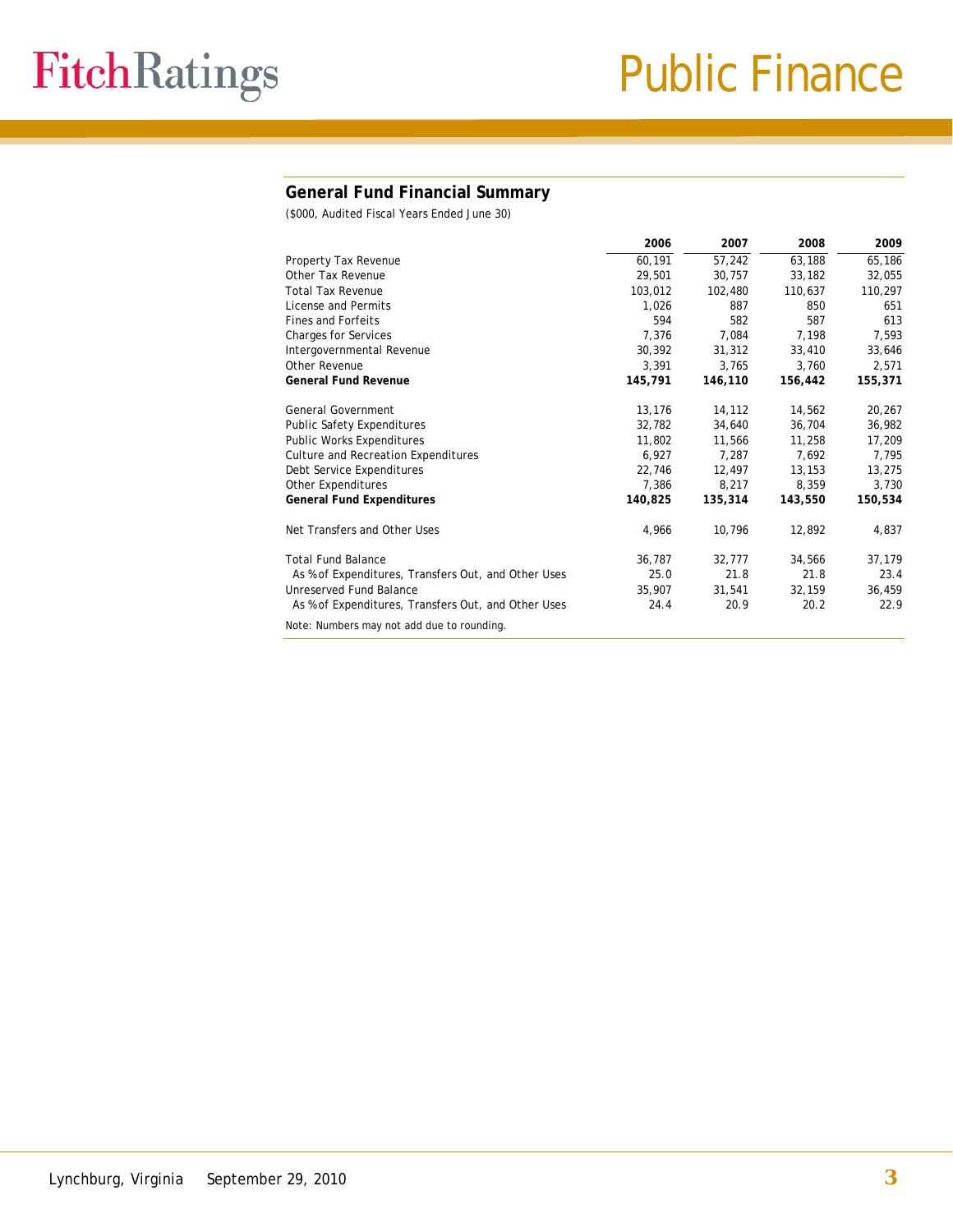#### **General Fund Financial Summary**

(\$000, Audited Fiscal Years Ended June 30)

|                                                     | 2006    | 2007    | 2008    | 2009    |
|-----------------------------------------------------|---------|---------|---------|---------|
| Property Tax Revenue                                | 60,191  | 57,242  | 63,188  | 65,186  |
| Other Tax Revenue                                   | 29,501  | 30.757  | 33,182  | 32,055  |
| <b>Total Tax Revenue</b>                            | 103,012 | 102,480 | 110,637 | 110,297 |
| License and Permits                                 | 1,026   | 887     | 850     | 651     |
| Fines and Forfeits                                  | 594     | 582     | 587     | 613     |
| <b>Charges for Services</b>                         | 7,376   | 7,084   | 7,198   | 7,593   |
| Intergovernmental Revenue                           | 30,392  | 31,312  | 33,410  | 33,646  |
| <b>Other Revenue</b>                                | 3,391   | 3,765   | 3.760   | 2,571   |
| <b>General Fund Revenue</b>                         | 145,791 | 146,110 | 156,442 | 155,371 |
|                                                     |         |         |         |         |
| <b>General Government</b>                           | 13,176  | 14,112  | 14,562  | 20,267  |
| <b>Public Safety Expenditures</b>                   | 32,782  | 34,640  | 36,704  | 36,982  |
| <b>Public Works Expenditures</b>                    | 11,802  | 11,566  | 11,258  | 17,209  |
| Culture and Recreation Expenditures                 | 6,927   | 7,287   | 7,692   | 7,795   |
| Debt Service Expenditures                           | 22,746  | 12,497  | 13,153  | 13,275  |
| Other Expenditures                                  | 7,386   | 8,217   | 8,359   | 3,730   |
| <b>General Fund Expenditures</b>                    | 140,825 | 135,314 | 143,550 | 150,534 |
| Net Transfers and Other Uses                        | 4,966   | 10,796  | 12,892  | 4,837   |
| <b>Total Fund Balance</b>                           | 36,787  | 32,777  | 34,566  | 37,179  |
| As % of Expenditures, Transfers Out, and Other Uses | 25.0    | 21.8    | 21.8    | 23.4    |
| Unreserved Fund Balance                             | 35,907  | 31,541  | 32,159  | 36,459  |
| As % of Expenditures, Transfers Out, and Other Uses | 24.4    | 20.9    | 20.2    | 22.9    |
| Note: Numbers may not add due to rounding.          |         |         |         |         |